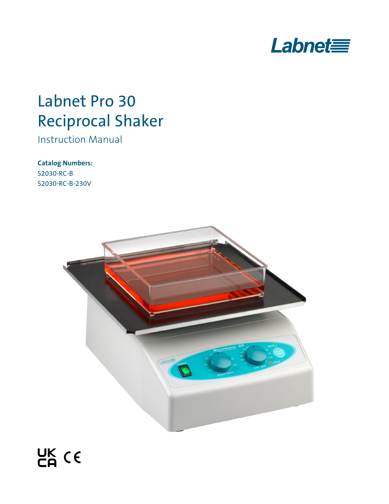

# Labnet Pro 30 Reciprocal Shaker

Instruction Manual

**Catalog Numbers:**  S2030-RC-B S2030-RC-B-230V

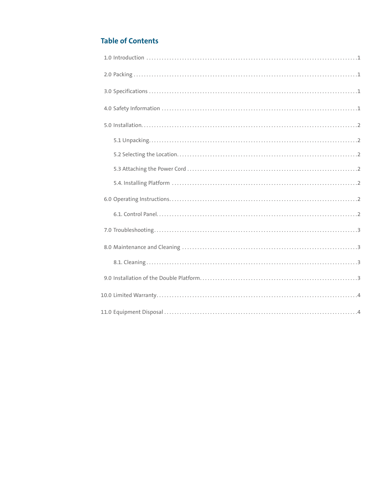# **Table of Contents**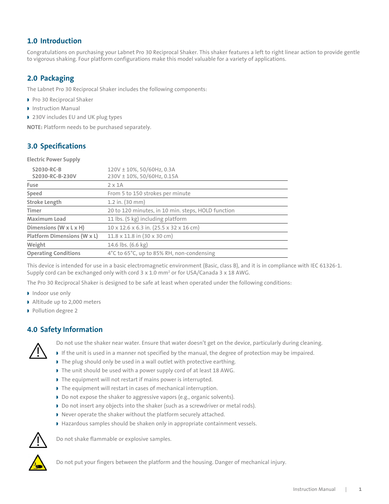# <span id="page-2-0"></span>**1.0 Introduction**

Congratulations on purchasing your Labnet Pro 30 Reciprocal Shaker. This shaker features a left to right linear action to provide gentle to vigorous shaking. Four platform configurations make this model valuable for a variety of applications.

# **2.0 Packaging**

The Labnet Pro 30 Reciprocal Shaker includes the following components:

- Pro 30 Reciprocal Shaker
- **Instruction Manual**
- 230V includes EU and UK plug types

**NOTE:** Platform needs to be purchased separately.

# **3.0 Specifications**

**Electric Power Supply**

| S2030-RC-B<br>S2030-RC-B-230V | 120V ± 10%, 50/60Hz, 0.3A<br>230V ± 10%, 50/60Hz, 0.15A |  |
|-------------------------------|---------------------------------------------------------|--|
| Fuse                          | $2 \times 1$ A                                          |  |
| Speed                         | From 5 to 150 strokes per minute                        |  |
| <b>Stroke Length</b>          | 1.2 in. (30 mm)                                         |  |
| Timer                         | 20 to 120 minutes, in 10 min. steps, HOLD function      |  |
| <b>Maximum Load</b>           | 11 lbs. (5 kg) including platform                       |  |
| Dimensions (W x L x H)        | 10 x 12.6 x 6.3 in. (25.5 x 32 x 16 cm)                 |  |
| Platform Dimensions (W x L)   | $11.8 \times 11.8$ in $(30 \times 30$ cm)               |  |
| Weight                        | 14.6 lbs. (6.6 kg)                                      |  |
| <b>Operating Conditions</b>   | 4°C to 65°C, up to 85% RH, non-condensing               |  |

This device is intended for use in a basic electromagnetic environment (Basic, class B), and it is in compliance with IEC 61326-1. Supply cord can be exchanged only with cord 3 x 1.0  $\text{mm}^2$  or for USA/Canada 3 x 18 AWG.

The Pro 30 Reciprocal Shaker is designed to be safe at least when operated under the following conditions:

- Indoor use only
- Altitude up to 2,000 meters
- Pollution degree 2

# **4.0 Safety Information**



Do not use the shaker near water. Ensure that water doesn't get on the device, particularly during cleaning.

- If the unit is used in a manner not specified by the manual, the degree of protection may be impaired.
- The plug should only be used in a wall outlet with protective earthing.
- The unit should be used with a power supply cord of at least 18 AWG.
- If the equipment will not restart if mains power is interrupted.
- The equipment will restart in cases of mechanical interruption.
- Do not expose the shaker to aggressive vapors (e.g., organic solvents).
- Do not insert any objects into the shaker (such as a screwdriver or metal rods).
- Never operate the shaker without the platform securely attached.
- Hazardous samples should be shaken only in appropriate containment vessels.



Do not shake flammable or explosive samples.



Do not put your fingers between the platform and the housing. Danger of mechanical injury.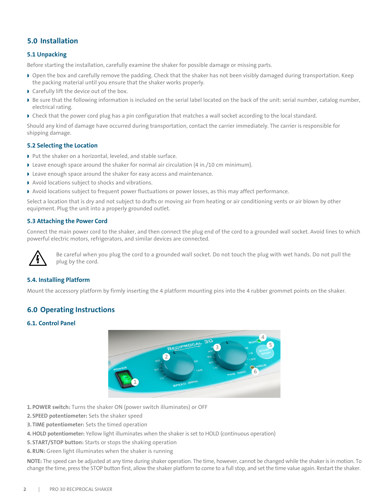# <span id="page-3-0"></span>**5.0 Installation**

#### **5.1 Unpacking**

Before starting the installation, carefully examine the shaker for possible damage or missing parts.

- Open the box and carefully remove the padding. Check that the shaker has not been visibly damaged during transportation. Keep the packing material until you ensure that the shaker works properly.
- Carefully lift the device out of the box.
- Be sure that the following information is included on the serial label located on the back of the unit: serial number, catalog number, electrical rating.
- Check that the power cord plug has a pin configuration that matches a wall socket according to the local standard.

Should any kind of damage have occurred during transportation, contact the carrier immediately. The carrier is responsible for shipping damage.

#### **5.2 Selecting the Location**

- ▶ Put the shaker on a horizontal, leveled, and stable surface.
- Leave enough space around the shaker for normal air circulation (4 in./10 cm minimum).
- Leave enough space around the shaker for easy access and maintenance.
- Avoid locations subject to shocks and vibrations.
- Avoid locations subject to frequent power fluctuations or power losses, as this may affect performance.

Select a location that is dry and not subject to drafts or moving air from heating or air conditioning vents or air blown by other equipment. Plug the unit into a properly grounded outlet.

#### **5.3 Attaching the Power Cord**

Connect the main power cord to the shaker, and then connect the plug end of the cord to a grounded wall socket. Avoid lines to which powerful electric motors, refrigerators, and similar devices are connected.



Be careful when you plug the cord to a grounded wall socket. Do not touch the plug with wet hands. Do not pull the plug by the cord.

#### **5.4. Installing Platform**

Mount the accessory platform by firmly inserting the 4 platform mounting pins into the 4 rubber grommet points on the shaker.

#### **6.0 Operating Instructions**

#### **6.1. Control Panel**



- **1. POWER switch:** Turns the shaker ON (power switch illuminates) or OFF
- **2. SPEED potentiometer:** Sets the shaker speed
- **3. TIME potentiometer:** Sets the timed operation
- **4.HOLD potentiometer:** Yellow light illuminates when the shaker is set to HOLD (continuous operation)
- **5. START/STOP button:** Starts or stops the shaking operation
- **6.RUN:** Green light illuminates when the shaker is running

**NOTE:** The speed can be adjusted at any time during shaker operation. The time, however, cannot be changed while the shaker is in motion. To change the time, press the STOP button first, allow the shaker platform to come to a full stop, and set the time value again. Restart the shaker.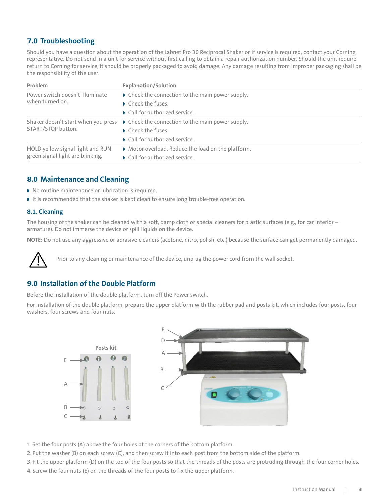# <span id="page-4-0"></span>**7.0 Troubleshooting**

Should you have a question about the operation of the Labnet Pro 30 Reciprocal Shaker or if service is required, contact your Corning representative**.** Do not send in a unit for service without first calling to obtain a repair authorization number. Should the unit require return to Corning for service, it should be properly packaged to avoid damage. Any damage resulting from improper packaging shall be the responsibility of the user.

| Problem                                                              | <b>Explanation/Solution</b>                                                                 |
|----------------------------------------------------------------------|---------------------------------------------------------------------------------------------|
| Power switch doesn't illuminate<br>when turned on.                   | • Check the connection to the main power supply.                                            |
|                                                                      | Check the fuses.                                                                            |
|                                                                      | • Call for authorized service.                                                              |
| START/STOP button.                                                   | Shaker doesn't start when you press <b>D</b> Check the connection to the main power supply. |
|                                                                      | Check the fuses.                                                                            |
|                                                                      | • Call for authorized service.                                                              |
| HOLD yellow signal light and RUN<br>green signal light are blinking. | • Motor overload. Reduce the load on the platform.                                          |
|                                                                      | • Call for authorized service.                                                              |

### **8.0 Maintenance and Cleaning**

- $\triangleright$  No routine maintenance or lubrication is required.
- It is recommended that the shaker is kept clean to ensure long trouble-free operation.

#### **8.1. Cleaning**

The housing of the shaker can be cleaned with a soft, damp cloth or special cleaners for plastic surfaces (e.g., for car interior armature). Do not immerse the device or spill liquids on the device.

**NOTE:** Do not use any aggressive or abrasive cleaners (acetone, nitro, polish, etc.) because the surface can get permanently damaged.



Prior to any cleaning or maintenance of the device, unplug the power cord from the wall socket.

# **9.0 Installation of the Double Platform**

Before the installation of the double platform, turn off the Power switch.

For installation of the double platform, prepare the upper platform with the rubber pad and posts kit, which includes four posts, four washers, four screws and four nuts.



1. Set the four posts (A) above the four holes at the corners of the bottom platform.

2. Put the washer (B) on each screw (C), and then screw it into each post from the bottom side of the platform.

3. Fit the upper platform (D) on the top of the four posts so that the threads of the posts are protruding through the four corner holes. 4. Screw the four nuts (E) on the threads of the four posts to fix the upper platform.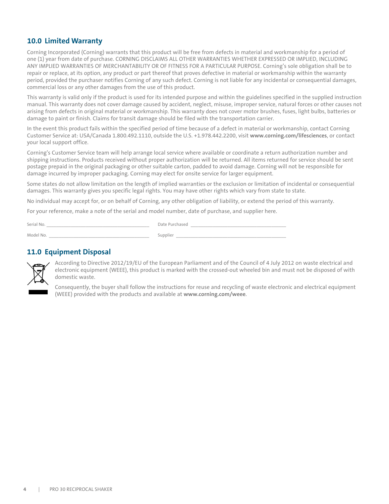## <span id="page-5-0"></span>**10.0 Limited Warranty**

Corning Incorporated (Corning) warrants that this product will be free from defects in material and workmanship for a period of one (1) year from date of purchase. CORNING DISCLAIMS ALL OTHER WARRANTIES WHETHER EXPRESSED OR IMPLIED, INCLUDING ANY IMPLIED WARRANTIES OF MERCHANTABILITY OR OF FITNESS FOR A PARTICULAR PURPOSE. Corning's sole obligation shall be to repair or replace, at its option, any product or part thereof that proves defective in material or workmanship within the warranty period, provided the purchaser notifies Corning of any such defect. Corning is not liable for any incidental or consequential damages, commercial loss or any other damages from the use of this product.

This warranty is valid only if the product is used for its intended purpose and within the guidelines specified in the supplied instruction manual. This warranty does not cover damage caused by accident, neglect, misuse, improper service, natural forces or other causes not arising from defects in original material or workmanship. This warranty does not cover motor brushes, fuses, light bulbs, batteries or damage to paint or finish. Claims for transit damage should be filed with the transportation carrier.

In the event this product fails within the specified period of time because of a defect in material or workmanship, contact Corning Customer Service at: USA/Canada 1.800.492.1110, outside the U.S. +1.978.442.2200, visit **www.corning.com/lifesciences**, or contact your local support office.

Corning's Customer Service team will help arrange local service where available or coordinate a return authorization number and shipping instructions. Products received without proper authorization will be returned. All items returned for service should be sent postage prepaid in the original packaging or other suitable carton, padded to avoid damage. Corning will not be responsible for damage incurred by improper packaging. Corning may elect for onsite service for larger equipment.

Some states do not allow limitation on the length of implied warranties or the exclusion or limitation of incidental or consequential damages. This warranty gives you specific legal rights. You may have other rights which vary from state to state.

No individual may accept for, or on behalf of Corning, any other obligation of liability, or extend the period of this warranty.

For your reference, make a note of the serial and model number, date of purchase, and supplier here.

| Serial No. | Date Purch. |
|------------|-------------|
| Model No.  | Supplier    |

#### **11.0 Equipment Disposal**



According to Directive 2012/19/EU of the European Parliament and of the Council of 4 July 2012 on waste electrical and electronic equipment (WEEE), this product is marked with the crossed-out wheeled bin and must not be disposed of with domestic waste.

Consequently, the buyer shall follow the instructions for reuse and recycling of waste electronic and electrical equipment (WEEE) provided with the products and available at **www.corning.com/weee**.